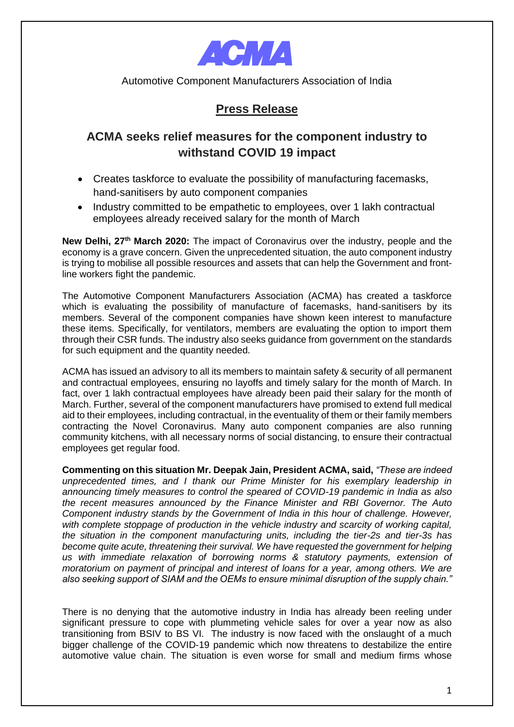

Automotive Component Manufacturers Association of India

## **Press Release**

## **ACMA seeks relief measures for the component industry to withstand COVID 19 impact**

- Creates taskforce to evaluate the possibility of manufacturing facemasks, hand-sanitisers by auto component companies
- Industry committed to be empathetic to employees, over 1 lakh contractual employees already received salary for the month of March

**New Delhi, 27th March 2020:** The impact of Coronavirus over the industry, people and the economy is a grave concern. Given the unprecedented situation, the auto component industry is trying to mobilise all possible resources and assets that can help the Government and frontline workers fight the pandemic.

The Automotive Component Manufacturers Association (ACMA) has created a taskforce which is evaluating the possibility of manufacture of facemasks, hand-sanitisers by its members. Several of the component companies have shown keen interest to manufacture these items. Specifically, for ventilators, members are evaluating the option to import them through their CSR funds. The industry also seeks guidance from government on the standards for such equipment and the quantity needed.

ACMA has issued an advisory to all its members to maintain safety & security of all permanent and contractual employees, ensuring no layoffs and timely salary for the month of March. In fact, over 1 lakh contractual employees have already been paid their salary for the month of March. Further, several of the component manufacturers have promised to extend full medical aid to their employees, including contractual, in the eventuality of them or their family members contracting the Novel Coronavirus. Many auto component companies are also running community kitchens, with all necessary norms of social distancing, to ensure their contractual employees get regular food.

**Commenting on this situation Mr. Deepak Jain, President ACMA, said,** *"These are indeed unprecedented times, and I thank our Prime Minister for his exemplary leadership in announcing timely measures to control the speared of COVID-19 pandemic in India as also the recent measures announced by the Finance Minister and RBI Governor. The Auto Component industry stands by the Government of India in this hour of challenge. However, with complete stoppage of production in the vehicle industry and scarcity of working capital, the situation in the component manufacturing units, including the tier-2s and tier-3s has become quite acute, threatening their survival. We have requested the government for helping us with immediate relaxation of borrowing norms & statutory payments, extension of moratorium on payment of principal and interest of loans for a year, among others. We are also seeking support of SIAM and the OEMs to ensure minimal disruption of the supply chain."*

There is no denying that the automotive industry in India has already been reeling under significant pressure to cope with plummeting vehicle sales for over a year now as also transitioning from BSIV to BS VI. The industry is now faced with the onslaught of a much bigger challenge of the COVID-19 pandemic which now threatens to destabilize the entire automotive value chain. The situation is even worse for small and medium firms whose